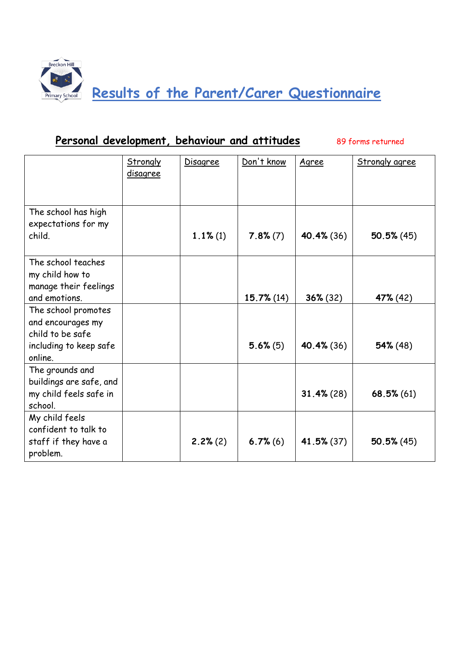

#### Personal development, behaviour and attitudes 89 forms returned

|                                                                                                   | <b>Strongly</b><br>disagree | <b>Disagree</b> | Don't know    | Agree         | <b>Strongly agree</b> |
|---------------------------------------------------------------------------------------------------|-----------------------------|-----------------|---------------|---------------|-----------------------|
| The school has high<br>expectations for my<br>child.                                              |                             | $1.1\%$ (1)     | $7.8\% (7)$   | 40.4% (36)    | $50.5\%$ (45)         |
| The school teaches<br>my child how to<br>manage their feelings<br>and emotions.                   |                             |                 | $15.7\%$ (14) | $36\% (32)$   | 47% (42)              |
| The school promotes<br>and encourages my<br>child to be safe<br>including to keep safe<br>online. |                             |                 | $5.6\%$ (5)   | 40.4% (36)    | $54\%$ (48)           |
| The grounds and<br>buildings are safe, and<br>my child feels safe in<br>school.                   |                             |                 |               | $31.4\%$ (28) | $68.5\%$ (61)         |
| My child feels<br>confident to talk to<br>staff if they have a<br>problem.                        |                             | 2.2%(2)         | $6.7\%$ (6)   | 41.5% (37)    | 50.5%(45)             |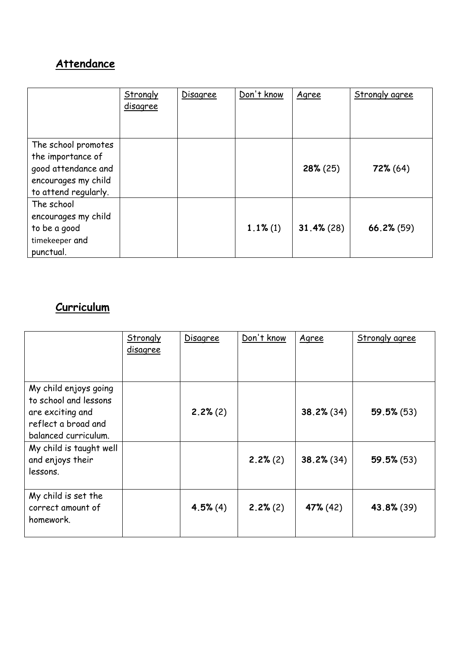# **Attendance**

|                                                                                                                | Strongly<br><u>disagree</u> | Disagree | Don't know  | Agree         | <b>Strongly agree</b> |
|----------------------------------------------------------------------------------------------------------------|-----------------------------|----------|-------------|---------------|-----------------------|
| The school promotes<br>the importance of<br>good attendance and<br>encourages my child<br>to attend regularly. |                             |          |             | $28\% (25)$   | $72\% (64)$           |
| The school<br>encourages my child<br>to be a good<br>timekeeper and<br>punctual.                               |                             |          | $1.1\%$ (1) | $31.4\%$ (28) | $66.2\%$ (59)         |

# **Curriculum**

|                                                                                                                   | Strongly<br>disagree | Disagree | Don't know | Agree         | <b>Strongly agree</b> |
|-------------------------------------------------------------------------------------------------------------------|----------------------|----------|------------|---------------|-----------------------|
| My child enjoys going<br>to school and lessons<br>are exciting and<br>reflect a broad and<br>balanced curriculum. |                      | 2.2% (2) |            | $38.2\%$ (34) | $59.5\%$ (53)         |
| My child is taught well<br>and enjoys their<br>lessons.                                                           |                      |          | 2.2%(2)    | $38.2\%$ (34) | 59.5%(53)             |
| My child is set the<br>correct amount of<br>homework.                                                             |                      | 4.5%(4)  | 2.2%(2)    | 47% (42)      | 43.8% (39)            |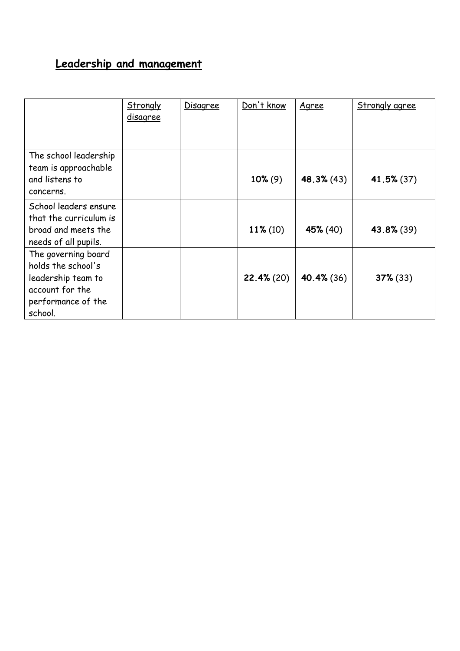# **Leadership and management**

|                                                                                                                     | <b>Strongly</b><br><u>disagree</u> | Disagree | Don't know  | Agree         | <b>Strongly agree</b> |
|---------------------------------------------------------------------------------------------------------------------|------------------------------------|----------|-------------|---------------|-----------------------|
| The school leadership<br>team is approachable<br>and listens to<br>concerns.                                        |                                    |          | $10\% (9)$  | $48.3\%$ (43) | $41.5\%$ (37)         |
| School leaders ensure<br>that the curriculum is<br>broad and meets the<br>needs of all pupils.                      |                                    |          | $11\% (10)$ | 45% (40)      | 43.8% (39)            |
| The governing board<br>holds the school's<br>leadership team to<br>account for the<br>performance of the<br>school. |                                    |          | 22.4% (20)  | 40.4% (36)    | $37\%$ (33)           |